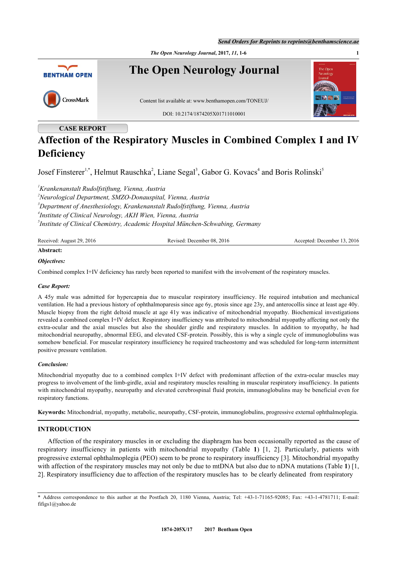*Send Orders for Reprints to reprints@benthamscience.ae*



# **CASE REPORT**

# **Affection of the Respiratory Muscles in Combined Complex I and IV Deficiency**

Josef Finsterer<sup>[1](#page-0-0),[\\*](#page-0-1)</sup>, Helmut Rauschka<sup>[2](#page-0-2)</sup>, Liane Segal<sup>[3](#page-0-3)</sup>, Gabor G. Kovacs<sup>[4](#page-0-4)</sup> and Boris Rolinski<sup>[5](#page-0-5)</sup>

<span id="page-0-4"></span><span id="page-0-3"></span><span id="page-0-2"></span><span id="page-0-0"></span>*Krankenanstalt Rudolfstiftung, Vienna, Austria Neurological Department, SMZO-Donauspital, Vienna, Austria Department of Anesthesiology, Krankenanstalt Rudolfstiftung, Vienna, Austria Institute of Clinical Neurology, AKH Wien, Vienna, Austria Institute of Clinical Chemistry, Academic Hospital München-Schwabing, Germany*

<span id="page-0-5"></span>

| Received: August 29, 2016 | Revised: December 08, 2016 | Accepted: December 13, 2016 |
|---------------------------|----------------------------|-----------------------------|
|                           |                            |                             |

# **Abstract:**

# *Objectives:*

Combined complex I+IV deficiency has rarely been reported to manifest with the involvement of the respiratory muscles.

# *Case Report:*

A 45y male was admitted for hypercapnia due to muscular respiratory insufficiency. He required intubation and mechanical ventilation. He had a previous history of ophthalmoparesis since age 6y, ptosis since age 23y, and anterocollis since at least age 40y. Muscle biopsy from the right deltoid muscle at age 41y was indicative of mitochondrial myopathy. Biochemical investigations revealed a combined complex I+IV defect. Respiratory insufficiency was attributed to mitochondrial myopathy affecting not only the extra-ocular and the axial muscles but also the shoulder girdle and respiratory muscles. In addition to myopathy, he had mitochondrial neuropathy, abnormal EEG, and elevated CSF-protein. Possibly, this is why a single cycle of immunoglobulins was somehow beneficial. For muscular respiratory insufficiency he required tracheostomy and was scheduled for long-term intermittent positive pressure ventilation.

### *Conclusion:*

Mitochondrial myopathy due to a combined complex I+IV defect with predominant affection of the extra-ocular muscles may progress to involvement of the limb-girdle, axial and respiratory muscles resulting in muscular respiratory insufficiency. In patients with mitochondrial myopathy, neuropathy and elevated cerebrospinal fluid protein, immunoglobulins may be beneficial even for respiratory functions.

**Keywords:** Mitochondrial, myopathy, metabolic, neuropathy, CSF-protein, immunoglobulins, progressive external ophthalmoplegia.

# **INTRODUCTION**

Affection of the respiratory muscles in or excluding the diaphragm has been occasionally reported as the cause of respiratory insufficiency in patients with mitochondrial myopathy (Table**1**)[[1,](#page-3-0) [2](#page-3-1)]. Particularly, patients with progressive external ophthalmoplegia (PEO) seem to be prone to respiratory insufficiency [[3\]](#page-3-2). Mitochondrial myopathy with affection of the respiratory muscles may not only be due to mtDNA but also due to nDNA mutations (Table [1](#page--1-0)) [\[1](#page-3-0), [2\]](#page-3-1). Respiratory insufficiency due to affection of the respiratory muscles has to be clearly delineated from respiratory

<span id="page-0-1"></span><sup>\*</sup> Address correspondence to this author at the Postfach 20, 1180 Vienna, Austria; Tel: +43-1-71165-92085; Fax: +43-1-4781711; E-mail: [fifigs1@yahoo.de](mailto:fifigs1@yahoo.de)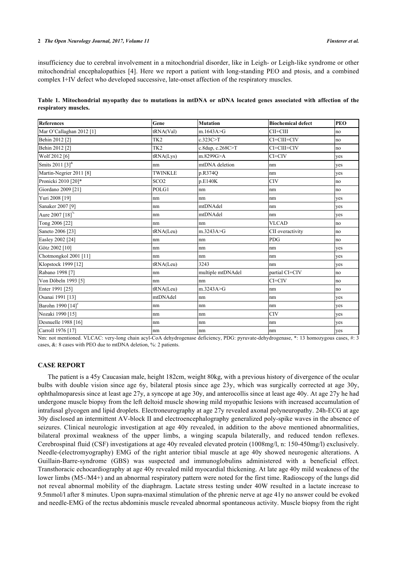#### **2** *The Open Neurology Journal, 2017, Volume 11 Finsterer et al.*

insufficiency due to cerebral involvement in a mitochondrial disorder, like in Leigh- or Leigh-like syndrome or other mitochondrial encephalopathies [[4\]](#page-3-3). Here we report a patient with long-standing PEO and ptosis, and a combined complex I+IV defect who developed successive, late-onset affection of the respiratory muscles.

| Table 1. Mitochondrial myopathy due to mutations in mtDNA or nDNA located genes associated with affection of the |  |  |  |  |  |  |  |
|------------------------------------------------------------------------------------------------------------------|--|--|--|--|--|--|--|
| respiratory muscles.                                                                                             |  |  |  |  |  |  |  |

| References                                                                                                                                                                                                                                                                                                                                                                           | Gene                                    | <b>Mutation</b>              | <b>Biochemical defect</b>     | <b>PEO</b> |
|--------------------------------------------------------------------------------------------------------------------------------------------------------------------------------------------------------------------------------------------------------------------------------------------------------------------------------------------------------------------------------------|-----------------------------------------|------------------------------|-------------------------------|------------|
| Mar O'Callaghan 2012 [1]                                                                                                                                                                                                                                                                                                                                                             | tRNA(Val)                               | m.1643A > G                  | CII+CIII                      | no         |
| Behin 2012 [2]                                                                                                                                                                                                                                                                                                                                                                       | TK <sub>2</sub>                         | c.323C>T                     | CI+CIII+CIV                   | no         |
| Behin 2012 [2]                                                                                                                                                                                                                                                                                                                                                                       | TK <sub>2</sub>                         | c.8dup, c.268C>T             | CI+CIII+CIV                   | no         |
| Wolf 2012 [6]                                                                                                                                                                                                                                                                                                                                                                        | tRNA(Lys)                               | m.8299G>A                    | $CI+CIV$                      | ves        |
| Smits 2011 [3] <sup>&amp;</sup>                                                                                                                                                                                                                                                                                                                                                      | nm                                      | mtDNA deletion               | nm                            | yes        |
| Martin-Negrier 2011 [8]                                                                                                                                                                                                                                                                                                                                                              | <b>TWINKLE</b>                          | p.R374Q                      | nm                            | yes        |
| Pronicki 2010 [20]*                                                                                                                                                                                                                                                                                                                                                                  | SCO <sub>2</sub>                        | p.E140K                      | <b>CIV</b>                    | no         |
| Giordano 2009 [21]                                                                                                                                                                                                                                                                                                                                                                   | POLG1                                   | nm                           | Inm                           | no         |
| Yuri 2008 [19]                                                                                                                                                                                                                                                                                                                                                                       | nm                                      | nm                           | nm                            | yes        |
| Sanaker 2007 [9]                                                                                                                                                                                                                                                                                                                                                                     | nm                                      | mtDNAdel                     | nm                            | ves        |
| Aure 2007 [18] <sup>%</sup>                                                                                                                                                                                                                                                                                                                                                          | nm                                      | mtDNAdel                     | nm                            | yes        |
| Tong 2006 [22]                                                                                                                                                                                                                                                                                                                                                                       | nm                                      | nm                           | <b>VLCAD</b>                  | no         |
| Saneto 2006 [23]                                                                                                                                                                                                                                                                                                                                                                     | tRNA(Leu)                               | m.3243A > G                  | CII overactivity              | no         |
| Easley 2002 [24]                                                                                                                                                                                                                                                                                                                                                                     | nm                                      | nm                           | <b>PDG</b>                    | no         |
| Götz 2002 [10]                                                                                                                                                                                                                                                                                                                                                                       | nm                                      | nm                           | nm                            | yes        |
| Chotmongkol 2001 [11]                                                                                                                                                                                                                                                                                                                                                                | nm                                      | nm                           | nm                            | yes        |
| Klopstock 1999 [12]                                                                                                                                                                                                                                                                                                                                                                  | tRNA(Leu)                               | 3243                         | nm                            | yes        |
| Rabano 1998 [7]                                                                                                                                                                                                                                                                                                                                                                      | nm                                      | multiple mtDNAdel            | partial CI+CIV                | no         |
| Von Döbeln 1993 [5]                                                                                                                                                                                                                                                                                                                                                                  | nm                                      | nm                           | CI+CIV                        | no         |
| Enter 1991 [25]                                                                                                                                                                                                                                                                                                                                                                      | tRNA(Leu)                               | m.3243A>G                    | nm                            | no         |
| Osanai 1991 [13]                                                                                                                                                                                                                                                                                                                                                                     | mtDNAdel                                | nm                           | nm                            | yes        |
| Barohn 1990 [14] <sup>#</sup>                                                                                                                                                                                                                                                                                                                                                        | nm                                      | nm                           | nm                            | yes        |
| Nozaki 1990 [15]                                                                                                                                                                                                                                                                                                                                                                     | nm                                      | nm                           | <b>CIV</b>                    | yes        |
| Desnuelle 1988 [16]                                                                                                                                                                                                                                                                                                                                                                  | nm                                      | nm                           | nm                            | yes        |
| Carroll 1976 [17]                                                                                                                                                                                                                                                                                                                                                                    | nm                                      | nm                           | nm                            | ves        |
| $\overline{1}$ $\overline{1}$ $\overline{1}$ $\overline{1}$ $\overline{1}$ $\overline{1}$ $\overline{1}$ $\overline{1}$ $\overline{1}$ $\overline{1}$ $\overline{1}$ $\overline{1}$ $\overline{1}$ $\overline{1}$ $\overline{1}$ $\overline{1}$ $\overline{1}$ $\overline{1}$ $\overline{1}$ $\overline{1}$ $\overline{1}$ $\overline{1}$ $\overline{1}$ $\overline{1}$ $\overline{$ | $\mathbf{A}$ and $\mathbf{A}$<br>$\sim$ | $\overline{1}$<br>$n \geq n$ | $\mathbf{a}$ and $\mathbf{a}$ |            |

Nm: not mentioned. VLCAC: very-long chain acyl-CoA dehydrogenase deficiency, PDG: pyruvate-dehydrogenase, \*: 13 homozygous cases, #: 3 cases, &: 8 cases with PEO due to mtDNA deletion, %: 2 patients.

### **CASE REPORT**

The patient is a 45y Caucasian male, height 182cm, weight 80kg, with a previous history of divergence of the ocular bulbs with double vision since age 6y, bilateral ptosis since age 23y, which was surgically corrected at age 30y, ophthalmoparesis since at least age 27y, a syncope at age 30y, and anterocollis since at least age 40y. At age 27y he had undergone muscle biopsy from the left deltoid muscle showing mild myopathic lesions with increased accumulation of intrafusal glycogen and lipid droplets. Electroneurography at age 27y revealed axonal polyneuropathy. 24h-ECG at age 30y disclosed an intermittent AV-block II and electroencephalography generalized poly-spike waves in the absence of seizures. Clinical neurologic investigation at age 40y revealed, in addition to the above mentioned abnormalities, bilateral proximal weakness of the upper limbs, a winging scapula bilaterally, and reduced tendon reflexes. Cerebrospinal fluid (CSF) investigations at age 40y revealed elevated protein (1008mg/l, n: 150-450mg/l) exclusively. Needle-(electromyography) EMG of the right anterior tibial muscle at age 40y showed neurogenic alterations. A Guillain-Barre-syndrome (GBS) was suspected and immunoglobulins administered with a beneficial effect. Transthoracic echocardiography at age 40y revealed mild myocardial thickening. At late age 40y mild weakness of the lower limbs (M5-/M4+) and an abnormal respiratory pattern were noted for the first time. Radioscopy of the lungs did not reveal abnormal mobility of the diaphragm. Lactate stress testing under 40W resulted in a lactate increase to 9.5mmol/l after 8 minutes. Upon supra-maximal stimulation of the phrenic nerve at age 41y no answer could be evoked and needle-EMG of the rectus abdominis muscle revealed abnormal spontaneous activity. Muscle biopsy from the right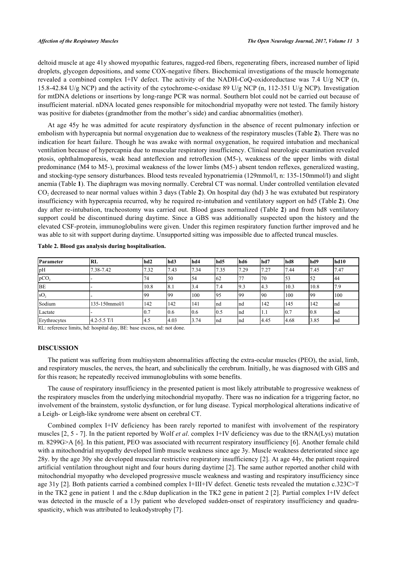deltoid muscle at age 41y showed myopathic features, ragged-red fibers, regenerating fibers, increased number of lipid droplets, glycogen depositions, and some COX-negative fibers. Biochemical investigations of the muscle homogenate revealed a combined complex I+IV defect. The activity of the NADH-CoQ-oxidoreductase was 7.4 U/g NCP (n, 15.8-42.84 U/g NCP) and the activity of the cytochrome-c-oxidase 89 U/g NCP (n, 112-351 U/g NCP). Investigation for mtDNA deletions or insertions by long-range PCR was normal. Southern blot could not be carried out because of insufficient material. nDNA located genes responsible for mitochondrial myopathy were not tested. The family history was positive for diabetes (grandmother from the mother's side) and cardiac abnormalities (mother).

At age 45y he was admitted for acute respiratory dysfunction in the absence of recent pulmonary infection or embolism with hypercapnia but normal oxygenation due to weakness of the respiratory muscles (Table **[2](#page--1-0)**). There was no indication for heart failure. Though he was awake with normal oxygenation, he required intubation and mechanical ventilation because of hypercapnia due to muscular respiratory insufficiency. Clinical neurologic examination revealed ptosis, ophthalmoparesis, weak head anteflexion and retroflexion (M5-), weakness of the upper limbs with distal predominance (M4 to M5-), proximal weakness of the lower limbs (M5-) absent tendon reflexes, generalized wasting, and stocking-type sensory disturbances. Blood tests revealed hyponatriemia (129mmol/l, n: 135-150mmol/l) and slight anemia (Table **[1](#page--1-0)**). The diaphragm was moving normally. Cerebral CT was normal. Under controlled ventilation elevated CO<sup>2</sup> decreased to near normal values within 3 days (Table **[2](#page--1-0)**). On hospital day (hd) 3 he was extubated but respiratory insufficiency with hypercapnia recurred, why he required re-intubation and ventilatory support on hd5 (Table **[2](#page--1-0)**). One day after re-intubation, tracheostomy was carried out. Blood gases normalized (Table **[2](#page--1-0)**) and from hd8 ventilatory support could be discontinued during daytime. Since a GBS was additionally suspected upon the history and the elevated CSF-protein, immunoglobulins were given. Under this regimen respiratory function further improved and he was able to sit with support during daytime. Unsupported sitting was impossible due to affected truncal muscles.

| Parameter        | RL              | hd <sub>2</sub> | hd3  | hd4  | lhd5 | lhd6 | hd7  | hd8  | lhd9 | hd <sub>10</sub> |
|------------------|-----------------|-----------------|------|------|------|------|------|------|------|------------------|
| pH               | 7.38-7.42       | 7.32            | 7.43 | 7.34 | 7.35 | 7.29 | 7.27 | 7.44 | 7.45 | 7.47             |
| pCO <sub>2</sub> |                 | 74              | 50   | 54   | 62   |      | 170  | 53   | 52   | 44               |
| <b>BE</b>        |                 | 10.8            | 18.1 | 3.4  | 7.4  | 19.3 | 14.3 | 10.3 | 10.8 | 7.9              |
| SO <sub>2</sub>  |                 | 199             | 199  | 100  | 195  | 199  | 190  | 100  | 199  | 100              |
| Sodium           | 135-150mmol/l   | 142             | 142  | 141  | Ind  | Ind  | 142  | 145  | 142  | Ind              |
| Lactate          |                 | 0.7             | 0.6  | 0.6  | 0.5  | Ind  | 1.1  | 10.7 | 0.8  | Ind              |
| Erythrocytes     | $4.2 - 5.5$ T/I | 4.5             | 4.03 | 3.74 | Ind  | Ind  | 4.45 | 4.68 | 3.85 | Ind              |

**Table 2. Blood gas analysis during hospitalisation.**

RL: reference limits, hd: hospital day, BE: base excess, nd: not done.

## **DISCUSSION**

The patient was suffering from multisystem abnormalities affecting the extra-ocular muscles (PEO), the axial, limb, and respiratory muscles, the nerves, the heart, and subclinically the cerebrum. Initially, he was diagnosed with GBS and for this reason; he repeatedly received immunoglobulins with some benefits.

The cause of respiratory insufficiency in the presented patient is most likely attributable to progressive weakness of the respiratory muscles from the underlying mitochondrial myopathy. There was no indication for a triggering factor, no involvement of the brainstem, systolic dysfunction, or for lung disease. Typical morphological alterations indicative of a Leigh- or Leigh-like syndrome were absent on cerebral CT.

Combined complex I+IV deficiency has been rarely reported to manifest with involvement of the respiratory muscles [[2,](#page-3-1) [5](#page-4-14) - [7\]](#page-4-13). In the patient reported by Wolf *et al*. complex I+IV deficiency was due to the tRNA(Lys) mutation m. 8299G>A [[6](#page-4-0)]. In this patient, PEO was associated with recurrent respiratory insufficiency [\[6](#page-4-0)]. Another female child with a mitochondrial myopathy developed limb muscle weakness since age 3y. Muscle weakness deteriorated since age 28y. by the age 30y she developed muscular restrictive respiratory insufficiency [[2\]](#page-3-1). At age 44y, the patient required artificial ventilation throughout night and four hours during daytime [[2\]](#page-3-1). The same author reported another child with mitochondrial myopathy who developed progressive muscle weakness and wasting and respiratory insufficiency since age 31y [[2\]](#page-3-1). Both patients carried a combined complex I+III+IV defect. Genetic tests revealed the mutation c.323C>T in the TK2 gene in patient 1 and the c.8dup duplication in the TK2 gene in patient 2 [[2\]](#page-3-1). Partial complex I+IV defect was detected in the muscle of a 13y patient who developed sudden-onset of respiratory insufficiency and quadruspasticity, which was attributed to leukodystrophy [[7\]](#page-4-13).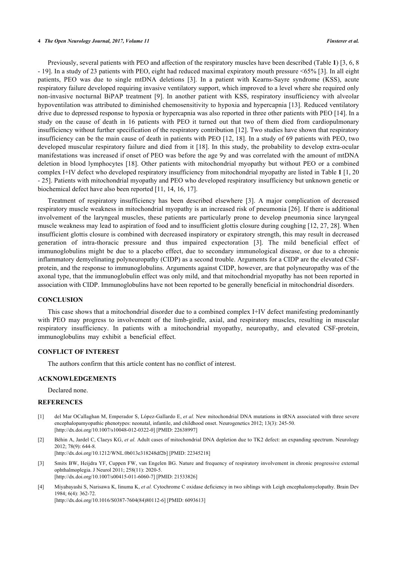#### **4** *The Open Neurology Journal, 2017, Volume 11 Finsterer et al.*

Previously, several patients with PEO and affection of the respiratory muscles have been described (Table **[1](#page--1-0)**) [[3,](#page-3-2) [6,](#page-4-0) [8](#page-4-1) - [19\]](#page-4-4). In a study of 23 patients with PEO, eight had reduced maximal expiratory mouth pressure <65% [[3\]](#page-3-2). In all eight patients, PEO was due to single mtDNA deletions[[3\]](#page-3-2). In a patient with Kearns-Sayre syndrome (KSS), acute respiratory failure developed requiring invasive ventilatory support, which improved to a level where she required only non-invasive nocturnal BiPAP treatment[[9](#page-4-5)]. In another patient with KSS, respiratory insufficiency with alveolar hypoventilation was attributed to diminished chemosensitivity to hypoxia and hypercapnia [[13\]](#page-4-15). Reduced ventilatory drive due to depressed response to hypoxia or hypercapnia was also reported in three other patients with PEO [[14\]](#page-4-16). In a study on the cause of death in 16 patients with PEO it turned out that two of them died from cardiopulmonary insufficiency without further specification of the respiratory contribution [[12\]](#page-4-12). Two studies have shown that respiratory insufficiency can be the main cause of death in patients with PEO [[12](#page-4-12), [18\]](#page-4-6). In a study of 69 patients with PEO, two developed muscular respiratory failure and died from it [[18](#page-4-6)]. In this study, the probability to develop extra-ocular manifestations was increased if onset of PEO was before the age 9y and was correlated with the amount of mtDNA deletion in blood lymphocytes [[18](#page-4-6)]. Other patients with mitochondrial myopathy but without PEO or a combined complex I+IV defect who developed respiratory insufficiency from mitochondrial myopathy are listed in Table **[1](#page--1-0)** [\[1](#page-3-0), [20](#page-4-2) - [25\]](#page-5-0). Patients with mitochondrial myopathy and PEO who developed respiratory insufficiency but unknown genetic or biochemical defect have also been reported [[11,](#page-4-11) [14,](#page-4-16) [16,](#page-4-18) [17\]](#page-4-19).

Treatment of respiratory insufficiency has been described elsewhere[[3](#page-3-2)]. A major complication of decreased respiratory muscle weakness in mitochondrial myopathy is an increased risk of pneumonia [\[26](#page-5-1)]. If there is additional involvement of the laryngeal muscles, these patients are particularly prone to develop pneumonia since laryngeal muscle weakness may lead to aspiration of food and to insufficient glottis closure during coughing [[12](#page-4-12), [27](#page-5-2), [28\]](#page-5-3). When insufficient glottis closure is combined with decreased inspiratory or expiratory strength, this may result in decreased generation of intra-thoracic pressure and thus impaired expectoration[[3](#page-3-2)]. The mild beneficial effect of immunoglobulins might be due to a placebo effect, due to secondary immunological disease, or due to a chronic inflammatory demyelinating polyneuropathy (CIDP) as a second trouble. Arguments for a CIDP are the elevated CSFprotein, and the response to immunoglobulins. Arguments against CIDP, however, are that polyneuropathy was of the axonal type, that the immunoglobulin effect was only mild, and that mitochondrial myopathy has not been reported in association with CIDP. Immunoglobulins have not been reported to be generally beneficial in mitochondrial disorders.

#### **CONCLUSION**

This case shows that a mitochondrial disorder due to a combined complex I+IV defect manifesting predominantly with PEO may progress to involvement of the limb-girdle, axial, and respiratory muscles, resulting in muscular respiratory insufficiency. In patients with a mitochondrial myopathy, neuropathy, and elevated CSF-protein, immunoglobulins may exhibit a beneficial effect.

#### **CONFLICT OF INTEREST**

The authors confirm that this article content has no conflict of interest.

#### **ACKNOWLEDGEMENTS**

Declared none.

#### **REFERENCES**

- <span id="page-3-0"></span>[1] del Mar OCallaghan M, Emperador S, López-Gallardo E, *et al.* New mitochondrial DNA mutations in tRNA associated with three severe encephalopamyopathic phenotypes: neonatal, infantile, and childhood onset. Neurogenetics 2012; 13(3): 245-50. [\[http://dx.doi.org/10.1007/s10048-012-0322-0\]](http://dx.doi.org/10.1007/s10048-012-0322-0) [PMID: [22638997](http://www.ncbi.nlm.nih.gov/pubmed/22638997)]
- <span id="page-3-1"></span>[2] Béhin A, Jardel C, Claeys KG, *et al.* Adult cases of mitochondrial DNA depletion due to TK2 defect: an expanding spectrum. Neurology 2012; 78(9): 644-8. [\[http://dx.doi.org/10.1212/WNL.0b013e318248df2b](http://dx.doi.org/10.1212/WNL.0b013e318248df2b)] [PMID: [22345218\]](http://www.ncbi.nlm.nih.gov/pubmed/22345218)
- <span id="page-3-2"></span>[3] Smits BW, Heijdra YF, Cuppen FW, van Engelen BG. Nature and frequency of respiratory involvement in chronic progressive external ophthalmoplegia. J Neurol 2011; 258(11): 2020-5. [\[http://dx.doi.org/10.1007/s00415-011-6060-7\]](http://dx.doi.org/10.1007/s00415-011-6060-7) [PMID: [21533826](http://www.ncbi.nlm.nih.gov/pubmed/21533826)]
- <span id="page-3-3"></span>[4] Miyabayashi S, Narisawa K, Iinuma K, *et al.* Cytochrome C oxidase deficiency in two siblings with Leigh encephalomyelopathy. Brain Dev 1984; 6(4): 362-72. [\[http://dx.doi.org/10.1016/S0387-7604\(84\)80112-6\]](http://dx.doi.org/10.1016/S0387-7604(84)80112-6) [PMID: [6093613](http://www.ncbi.nlm.nih.gov/pubmed/6093613)]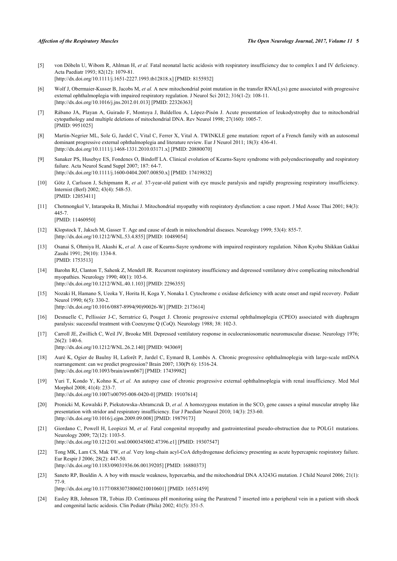- <span id="page-4-14"></span>[5] von Döbeln U, Wibom R, Ahlman H, *et al.* Fatal neonatal lactic acidosis with respiratory insufficiency due to complex I and IV deficiency. Acta Paediatr 1993; 82(12): 1079-81. [\[http://dx.doi.org/10.1111/j.1651-2227.1993.tb12818.x\]](http://dx.doi.org/10.1111/j.1651-2227.1993.tb12818.x) [PMID: [8155932](http://www.ncbi.nlm.nih.gov/pubmed/8155932)]
- <span id="page-4-0"></span>[6] Wolf J, Obermaier-Kusser B, Jacobs M, *et al.* A new mitochondrial point mutation in the transfer RNA(Lys) gene associated with progressive external ophthalmoplegia with impaired respiratory regulation. J Neurol Sci 2012; 316(1-2): 108-11. [\[http://dx.doi.org/10.1016/j.jns.2012.01.013](http://dx.doi.org/10.1016/j.jns.2012.01.013)] [PMID: [22326363\]](http://www.ncbi.nlm.nih.gov/pubmed/22326363)
- <span id="page-4-13"></span>[7] Rábano JA, Playan A, Guirado F, Montoya J, Baldellou A, López-Pisón J. Acute presentation of leukodystrophy due to mitochondrial cytopathology and multiple deletions of mitochondrial DNA. Rev Neurol 1998; 27(160): 1005-7. [PMID: [9951025\]](http://www.ncbi.nlm.nih.gov/pubmed/9951025)
- <span id="page-4-1"></span>[8] Martin-Negrier ML, Sole G, Jardel C, Vital C, Ferrer X, Vital A. TWINKLE gene mutation: report of a French family with an autosomal dominant progressive external ophthalmoplegia and literature review. Eur J Neurol 2011; 18(3): 436-41. [\[http://dx.doi.org/10.1111/j.1468-1331.2010.03171.x\]](http://dx.doi.org/10.1111/j.1468-1331.2010.03171.x) [PMID: [20880070](http://www.ncbi.nlm.nih.gov/pubmed/20880070)]
- <span id="page-4-5"></span>[9] Sanaker PS, Husebye ES, Fondenes O, Bindoff LA. Clinical evolution of Kearns-Sayre syndrome with polyendocrinopathy and respiratory failure. Acta Neurol Scand Suppl 2007; 187: 64-7. [\[http://dx.doi.org/10.1111/j.1600-0404.2007.00850.x\]](http://dx.doi.org/10.1111/j.1600-0404.2007.00850.x) [PMID: [17419832](http://www.ncbi.nlm.nih.gov/pubmed/17419832)]
- <span id="page-4-10"></span>[10] Götz J, Carlsson J, Schipmann R, *et al.* 37-year-old patient with eye muscle paralysis and rapidly progressing respiratory insufficiency. Internist (Berl) 2002; 43(4): 548-53. [PMID: [12053411\]](http://www.ncbi.nlm.nih.gov/pubmed/12053411)
- <span id="page-4-11"></span>[11] Chotmongkol V, Intarapoka B, Mitchai J. Mitochondrial myopathy with respiratory dysfunction: a case report. J Med Assoc Thai 2001; 84(3): 445-7. [PMID: [11460950\]](http://www.ncbi.nlm.nih.gov/pubmed/11460950)
- <span id="page-4-12"></span>[12] Klopstock T, Jaksch M, Gasser T. Age and cause of death in mitochondrial diseases. Neurology 1999; 53(4): 855-7. [\[http://dx.doi.org/10.1212/WNL.53.4.855](http://dx.doi.org/10.1212/WNL.53.4.855)] [PMID: [10489054\]](http://www.ncbi.nlm.nih.gov/pubmed/10489054)
- <span id="page-4-15"></span>[13] Osanai S, Ohmiya H, Akashi K, *et al.* A case of Kearns-Sayre syndrome with impaired respiratory regulation. Nihon Kyobu Shikkan Gakkai Zasshi 1991; 29(10): 1334-8. [PMID: [1753513\]](http://www.ncbi.nlm.nih.gov/pubmed/1753513)
- <span id="page-4-16"></span>[14] Barohn RJ, Clanton T, Sahenk Z, Mendell JR. Recurrent respiratory insufficiency and depressed ventilatory drive complicating mitochondrial myopathies. Neurology 1990; 40(1): 103-6. [\[http://dx.doi.org/10.1212/WNL.40.1.103](http://dx.doi.org/10.1212/WNL.40.1.103)] [PMID: [2296355\]](http://www.ncbi.nlm.nih.gov/pubmed/2296355)
- <span id="page-4-17"></span>[15] Nozaki H, Hamano S, Ueoka Y, Horita H, Koga Y, Nonaka I. Cytochrome c oxidase deficiency with acute onset and rapid recovery. Pediatr Neurol 1990; 6(5): 330-2. [\[http://dx.doi.org/10.1016/0887-8994\(90\)90026-W](http://dx.doi.org/10.1016/0887-8994(90)90026-W)] [PMID: [2173614\]](http://www.ncbi.nlm.nih.gov/pubmed/2173614)
- <span id="page-4-18"></span>[16] Desnuelle C, Pellissier J-C, Serratrice G, Pouget J. Chronic progressive external ophthalmoplegia (CPEO) associated with diaphragm paralysis: successful treatment with Coenzyme Q (CoQ). Neurology 1988; 38: 102-3.
- <span id="page-4-19"></span>[17] Carroll JE, Zwillich C, Weil JV, Brooke MH. Depressed ventilatory response in oculocraniosomatic neuromuscular disease. Neurology 1976;  $26(2)$ : 140-6. [\[http://dx.doi.org/10.1212/WNL.26.2.140](http://dx.doi.org/10.1212/WNL.26.2.140)] [PMID: [943069\]](http://www.ncbi.nlm.nih.gov/pubmed/943069)
- <span id="page-4-6"></span>[18] Auré K, Ogier de Baulny H, Laforêt P, Jardel C, Eymard B, Lombès A. Chronic progressive ophthalmoplegia with large-scale mtDNA rearrangement: can we predict progression? Brain 2007; 130(Pt 6): 1516-24. [\[http://dx.doi.org/10.1093/brain/awm067](http://dx.doi.org/10.1093/brain/awm067)] [PMID: [17439982\]](http://www.ncbi.nlm.nih.gov/pubmed/17439982)
- <span id="page-4-4"></span>[19] Yuri T, Kondo Y, Kohno K, *et al.* An autopsy case of chronic progressive external ophthalmoplegia with renal insufficiency. Med Mol Morphol 2008; 41(4): 233-7. [\[http://dx.doi.org/10.1007/s00795-008-0420-0\]](http://dx.doi.org/10.1007/s00795-008-0420-0) [PMID: [19107614](http://www.ncbi.nlm.nih.gov/pubmed/19107614)]
- <span id="page-4-2"></span>[20] Pronicki M, Kowalski P, Piekutowska-Abramczuk D, et al. A homozygous mutation in the SCO<sub>2</sub> gene causes a spinal muscular atrophy like presentation with stridor and respiratory insufficiency. Eur J Paediatr Neurol 2010; 14(3): 253-60. [\[http://dx.doi.org/10.1016/j.ejpn.2009.09.008\]](http://dx.doi.org/10.1016/j.ejpn.2009.09.008) [PMID: [19879173](http://www.ncbi.nlm.nih.gov/pubmed/19879173)]
- <span id="page-4-3"></span>[21] Giordano C, Powell H, Leopizzi M, *et al.* Fatal congenital myopathy and gastrointestinal pseudo-obstruction due to POLG1 mutations. Neurology 2009; 72(12): 1103-5. [\[http://dx.doi.org/10.1212/01.wnl.0000345002.47396.e1](http://dx.doi.org/10.1212/01.wnl.0000345002.47396.e1)] [PMID: [19307547\]](http://www.ncbi.nlm.nih.gov/pubmed/19307547)
- <span id="page-4-7"></span>[22] Tong MK, Lam CS, Mak TW, *et al.* Very long-chain acyl-CoA dehydrogenase deficiency presenting as acute hypercapnic respiratory failure. Eur Respir J 2006; 28(2): 447-50. [\[http://dx.doi.org/10.1183/09031936.06.00139205\]](http://dx.doi.org/10.1183/09031936.06.00139205) [PMID: [16880373](http://www.ncbi.nlm.nih.gov/pubmed/16880373)]
- <span id="page-4-8"></span>[23] Saneto RP, Bouldin A. A boy with muscle weakness, hypercarbia, and the mitochondrial DNA A3243G mutation. J Child Neurol 2006; 21(1): 77-9. [\[http://dx.doi.org/10.1177/08830738060210010601\]](http://dx.doi.org/10.1177/08830738060210010601) [PMID: [16551459](http://www.ncbi.nlm.nih.gov/pubmed/16551459)]
- <span id="page-4-9"></span>[24] Easley RB, Johnson TR, Tobias JD. Continuous pH monitoring using the Paratrend 7 inserted into a peripheral vein in a patient with shock and congenital lactic acidosis. Clin Pediatr (Phila) 2002; 41(5): 351-5.